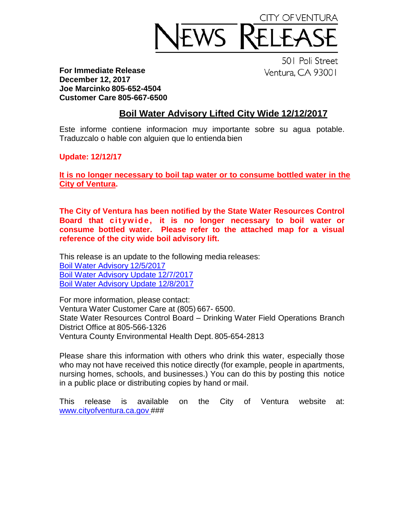

**For Immediate Release December 12, 2017 Joe Marcinko 805-652-4504 Customer Care 805-667-6500**

501 Poli Street Ventura, CA 93001

## **Boil Water Advisory Lifted City Wide 12/12/2017**

Este informe contiene informacion muy importante sobre su agua potable. Traduzcalo o hable con alguien que lo entienda bien

**Update: 12/12/17**

**It is no longer necessary to boil tap water or to consume bottled water in the City of Ventura.** 

**The City of Ventura has been notified by the State Water Resources Control Board that citywide**, it is no longer necessary to boil water or **consume bottled water. Please refer to the attached map for a visual reference of the city wide boil advisory lift.** 

This release is an update to the following media releases: [Boil Water Advisory](https://www.cityofventura.ca.gov/ArchiveCenter/ViewFile/Item/1780) 12/5/2017 [Boil Water Advisory Update](https://www.cityofventura.ca.gov/ArchiveCenter/ViewFile/Item/1782) 12/7/2017 [Boil Water Advisory Update 12/8/2017](https://www.cityofventura.ca.gov/ArchiveCenter/ViewFile/Item/1783)

For more information, please contact: Ventura Water Customer Care at (805) 667- 6500. State Water Resources Control Board – Drinking Water Field Operations Branch District Office at 805-566-1326 Ventura County Environmental Health Dept. 805-654-2813

Please share this information with others who drink this water, especially those who may not have received this notice directly (for example, people in apartments, nursing homes, schools, and businesses.) You can do this by posting this notice in a public place or distributing copies by hand or mail.

This release is available on the City of Ventura website at: [www.cityofventura.ca.gov](http://www.cityofventura.ca.gov/) ###